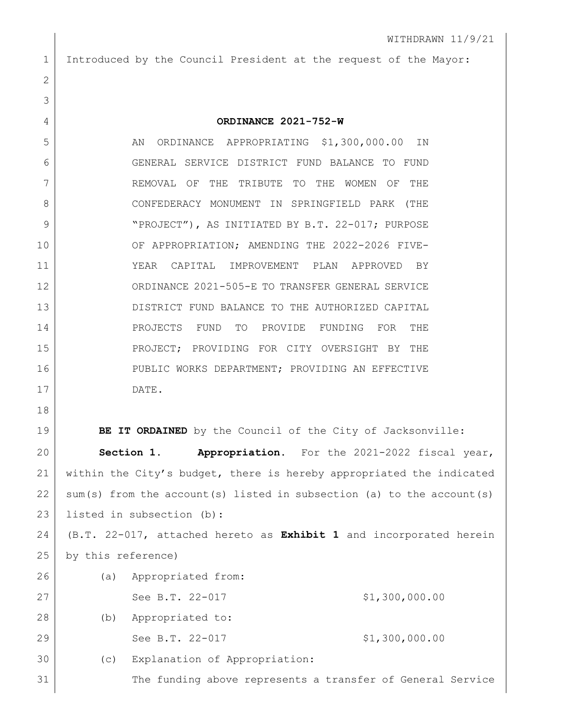Introduced by the Council President at the request of the Mayor:

DATE.

 **ORDINANCE 2021-752-W** 5 AN ORDINANCE APPROPRIATING \$1,300,000.00 IN GENERAL SERVICE DISTRICT FUND BALANCE TO FUND REMOVAL OF THE TRIBUTE TO THE WOMEN OF THE 8 CONFEDERACY MONUMENT IN SPRINGFIELD PARK (THE 9 NEROJECT"), AS INITIATED BY B.T. 22-017; PURPOSE OF APPROPRIATION; AMENDING THE 2022-2026 FIVE- YEAR CAPITAL IMPROVEMENT PLAN APPROVED BY ORDINANCE 2021-505-E TO TRANSFER GENERAL SERVICE DISTRICT FUND BALANCE TO THE AUTHORIZED CAPITAL 14 PROJECTS FUND TO PROVIDE FUNDING FOR THE 15 PROJECT; PROVIDING FOR CITY OVERSIGHT BY THE

16 PUBLIC WORKS DEPARTMENT; PROVIDING AN EFFECTIVE

**BE IT ORDAINED** by the Council of the City of Jacksonville: **Section 1. Appropriation.** For the 2021-2022 fiscal year, within the City's budget, there is hereby appropriated the indicated sum(s) from the account(s) listed in subsection (a) to the account(s) listed in subsection (b):

 (B.T. 22-017, attached hereto as **Exhibit 1** and incorporated herein by this reference)

| 26 | (a) | Appropriated from:                                         |                |
|----|-----|------------------------------------------------------------|----------------|
| 27 |     | See B.T. 22-017                                            | \$1,300,000.00 |
| 28 | (b) | Appropriated to:                                           |                |
| 29 |     | See B.T. 22-017                                            | \$1,300,000.00 |
| 30 | (C) | Explanation of Appropriation:                              |                |
| 31 |     | The funding above represents a transfer of General Service |                |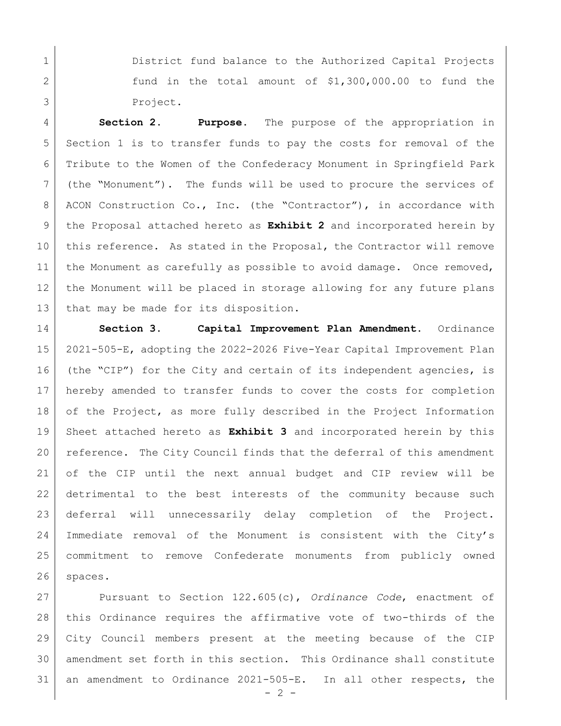1 | District fund balance to the Authorized Capital Projects 2 fund in the total amount of \$1,300,000.00 to fund the Project.

 **Section 2. Purpose.** The purpose of the appropriation in Section 1 is to transfer funds to pay the costs for removal of the Tribute to the Women of the Confederacy Monument in Springfield Park (the "Monument"). The funds will be used to procure the services of 8 | ACON Construction Co., Inc. (the "Contractor"), in accordance with the Proposal attached hereto as **Exhibit 2** and incorporated herein by 10 this reference. As stated in the Proposal, the Contractor will remove 11 | the Monument as carefully as possible to avoid damage. Once removed, the Monument will be placed in storage allowing for any future plans 13 | that may be made for its disposition.

 **Section 3. Capital Improvement Plan Amendment.** Ordinance 2021-505-E, adopting the 2022-2026 Five-Year Capital Improvement Plan (the "CIP") for the City and certain of its independent agencies, is hereby amended to transfer funds to cover the costs for completion of the Project, as more fully described in the Project Information Sheet attached hereto as **Exhibit 3** and incorporated herein by this reference. The City Council finds that the deferral of this amendment of the CIP until the next annual budget and CIP review will be detrimental to the best interests of the community because such deferral will unnecessarily delay completion of the Project. Immediate removal of the Monument is consistent with the City's commitment to remove Confederate monuments from publicly owned 26 spaces.

 $-2 -$  Pursuant to Section 122.605(c), *Ordinance Code*, enactment of this Ordinance requires the affirmative vote of two-thirds of the City Council members present at the meeting because of the CIP amendment set forth in this section. This Ordinance shall constitute an amendment to Ordinance 2021-505-E. In all other respects, the